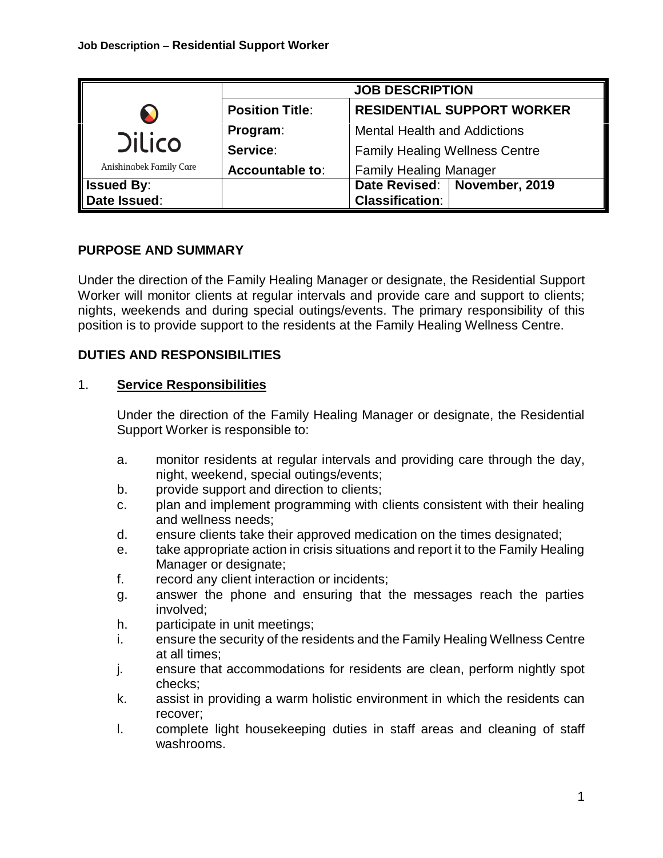|                                               | <b>JOB DESCRIPTION</b> |                                                          |
|-----------------------------------------------|------------------------|----------------------------------------------------------|
| N<br><b>Dilico</b><br>Anishinabek Family Care | <b>Position Title:</b> | <b>RESIDENTIAL SUPPORT WORKER</b>                        |
|                                               | Program:               | <b>Mental Health and Addictions</b>                      |
|                                               | Service:               | <b>Family Healing Wellness Centre</b>                    |
|                                               | Accountable to:        | <b>Family Healing Manager</b>                            |
| <b>Issued By:</b><br>Date Issued:             |                        | Date Revised:   November, 2019<br><b>Classification:</b> |

# **PURPOSE AND SUMMARY**

Under the direction of the Family Healing Manager or designate, the Residential Support Worker will monitor clients at regular intervals and provide care and support to clients; nights, weekends and during special outings/events. The primary responsibility of this position is to provide support to the residents at the Family Healing Wellness Centre.

# **DUTIES AND RESPONSIBILITIES**

### 1. **Service Responsibilities**

Under the direction of the Family Healing Manager or designate, the Residential Support Worker is responsible to:

- a. monitor residents at regular intervals and providing care through the day, night, weekend, special outings/events;
- b. provide support and direction to clients;
- c. plan and implement programming with clients consistent with their healing and wellness needs;
- d. ensure clients take their approved medication on the times designated;
- e. take appropriate action in crisis situations and report it to the Family Healing Manager or designate;
- f. record any client interaction or incidents;
- g. answer the phone and ensuring that the messages reach the parties involved;
- h. participate in unit meetings;
- i. ensure the security of the residents and the Family Healing Wellness Centre at all times;
- j. ensure that accommodations for residents are clean, perform nightly spot checks;
- k. assist in providing a warm holistic environment in which the residents can recover;
- l. complete light housekeeping duties in staff areas and cleaning of staff washrooms.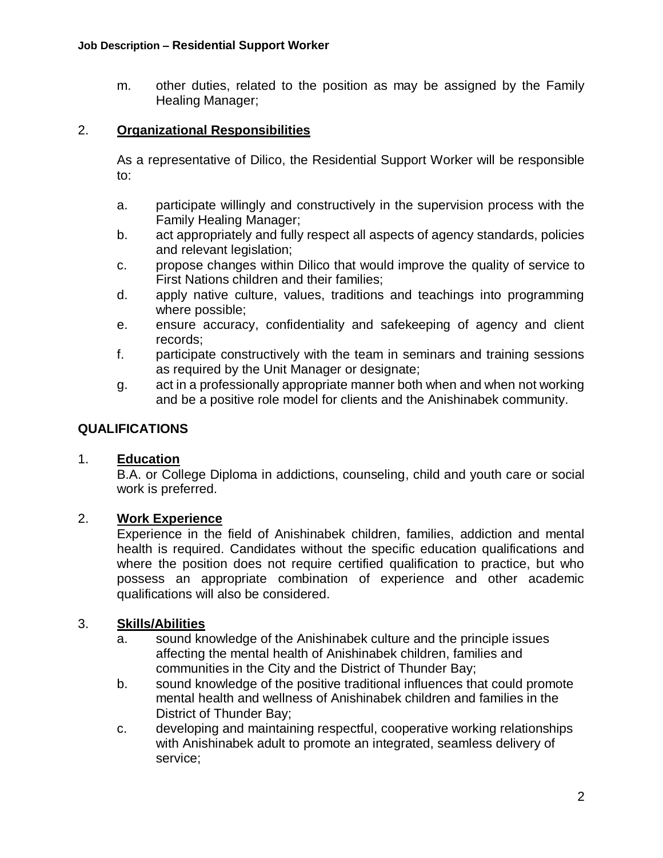m. other duties, related to the position as may be assigned by the Family Healing Manager;

### 2. **Organizational Responsibilities**

As a representative of Dilico, the Residential Support Worker will be responsible to:

- a. participate willingly and constructively in the supervision process with the Family Healing Manager;
- b. act appropriately and fully respect all aspects of agency standards, policies and relevant legislation;
- c. propose changes within Dilico that would improve the quality of service to First Nations children and their families;
- d. apply native culture, values, traditions and teachings into programming where possible;
- e. ensure accuracy, confidentiality and safekeeping of agency and client records;
- f. participate constructively with the team in seminars and training sessions as required by the Unit Manager or designate;
- g. act in a professionally appropriate manner both when and when not working and be a positive role model for clients and the Anishinabek community.

# **QUALIFICATIONS**

# 1. **Education**

B.A. or College Diploma in addictions, counseling, child and youth care or social work is preferred.

# 2. **Work Experience**

Experience in the field of Anishinabek children, families, addiction and mental health is required. Candidates without the specific education qualifications and where the position does not require certified qualification to practice, but who possess an appropriate combination of experience and other academic qualifications will also be considered.

#### 3. **Skills/Abilities**

- a. sound knowledge of the Anishinabek culture and the principle issues affecting the mental health of Anishinabek children, families and communities in the City and the District of Thunder Bay;
- b. sound knowledge of the positive traditional influences that could promote mental health and wellness of Anishinabek children and families in the District of Thunder Bay;
- c. developing and maintaining respectful, cooperative working relationships with Anishinabek adult to promote an integrated, seamless delivery of service;